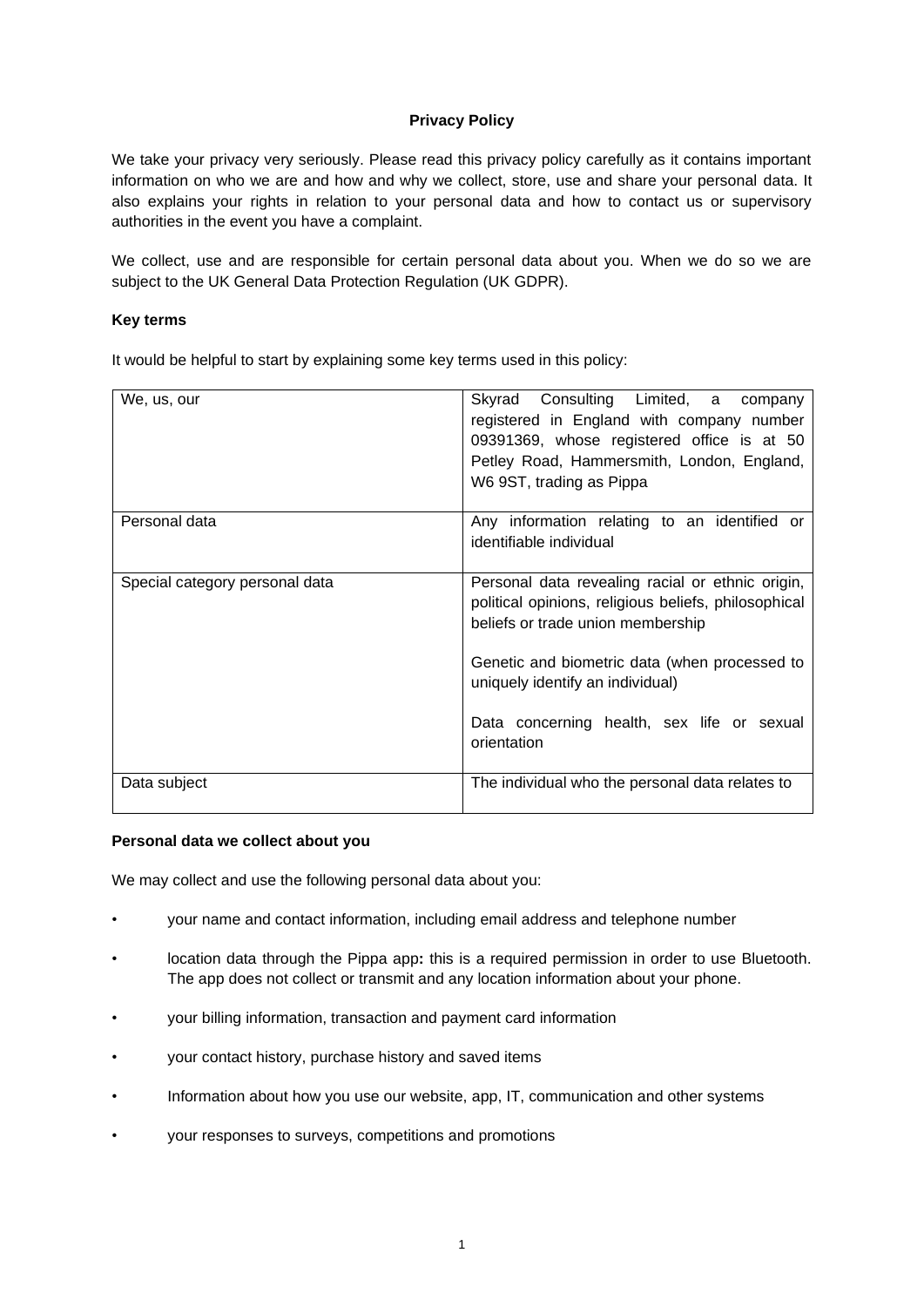# **Privacy Policy**

We take your privacy very seriously. Please read this privacy policy carefully as it contains important information on who we are and how and why we collect, store, use and share your personal data. It also explains your rights in relation to your personal data and how to contact us or supervisory authorities in the event you have a complaint.

We collect, use and are responsible for certain personal data about you. When we do so we are subject to the UK General Data Protection Regulation (UK GDPR).

## **Key terms**

It would be helpful to start by explaining some key terms used in this policy:

| We, us, our                    | Skyrad Consulting Limited, a company<br>registered in England with company number<br>09391369, whose registered office is at 50<br>Petley Road, Hammersmith, London, England,<br>W6 9ST, trading as Pippa |
|--------------------------------|-----------------------------------------------------------------------------------------------------------------------------------------------------------------------------------------------------------|
| Personal data                  | Any information relating to an identified or<br>identifiable individual                                                                                                                                   |
| Special category personal data | Personal data revealing racial or ethnic origin,<br>political opinions, religious beliefs, philosophical<br>beliefs or trade union membership                                                             |
|                                | Genetic and biometric data (when processed to<br>uniquely identify an individual)                                                                                                                         |
|                                | Data concerning health, sex life or sexual<br>orientation                                                                                                                                                 |
| Data subject                   | The individual who the personal data relates to                                                                                                                                                           |

# **Personal data we collect about you**

We may collect and use the following personal data about you:

- your name and contact information, including email address and telephone number
- location data through the Pippa app**:** this is a required permission in order to use Bluetooth. The app does not collect or transmit and any location information about your phone.
- your billing information, transaction and payment card information
- your contact history, purchase history and saved items
- Information about how you use our website, app, IT, communication and other systems
- your responses to surveys, competitions and promotions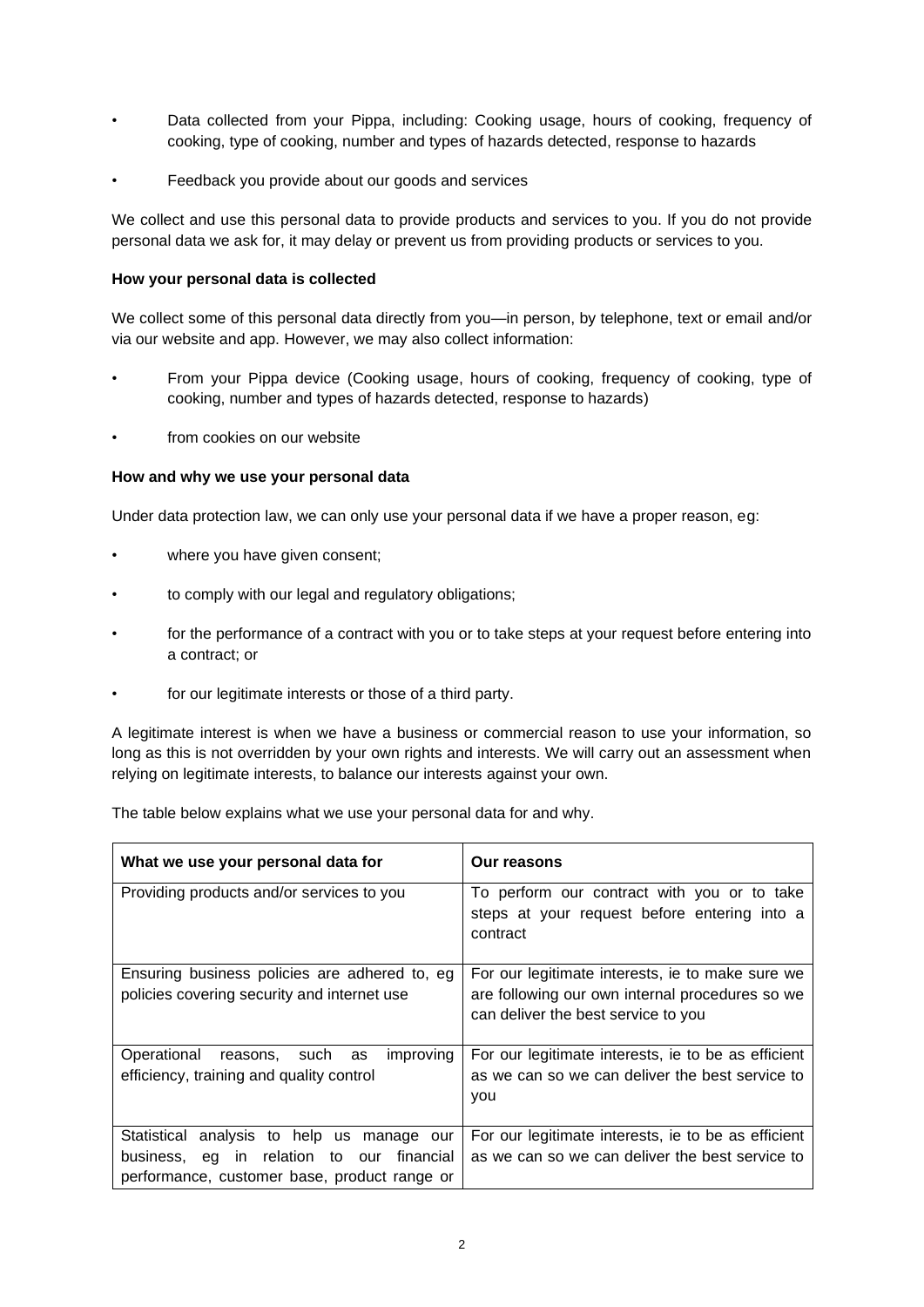- Data collected from your Pippa, including: Cooking usage, hours of cooking, frequency of cooking, type of cooking, number and types of hazards detected, response to hazards
- Feedback you provide about our goods and services

We collect and use this personal data to provide products and services to you. If you do not provide personal data we ask for, it may delay or prevent us from providing products or services to you.

### **How your personal data is collected**

We collect some of this personal data directly from you—in person, by telephone, text or email and/or via our website and app. However, we may also collect information:

- From your Pippa device (Cooking usage, hours of cooking, frequency of cooking, type of cooking, number and types of hazards detected, response to hazards)
- from cookies on our website

## **How and why we use your personal data**

Under data protection law, we can only use your personal data if we have a proper reason, eg:

- where you have given consent;
- to comply with our legal and regulatory obligations;
- for the performance of a contract with you or to take steps at your request before entering into a contract; or
- for our legitimate interests or those of a third party.

A legitimate interest is when we have a business or commercial reason to use your information, so long as this is not overridden by your own rights and interests. We will carry out an assessment when relying on legitimate interests, to balance our interests against your own.

The table below explains what we use your personal data for and why.

| What we use your personal data for                                                                                                               | Our reasons                                                                                                                                |
|--------------------------------------------------------------------------------------------------------------------------------------------------|--------------------------------------------------------------------------------------------------------------------------------------------|
| Providing products and/or services to you                                                                                                        | To perform our contract with you or to take<br>steps at your request before entering into a<br>contract                                    |
| Ensuring business policies are adhered to, eg<br>policies covering security and internet use                                                     | For our legitimate interests, ie to make sure we<br>are following our own internal procedures so we<br>can deliver the best service to you |
| improving<br>Operational<br>reasons, such as<br>efficiency, training and quality control                                                         | For our legitimate interests, ie to be as efficient<br>as we can so we can deliver the best service to<br>you                              |
| Statistical analysis to help us<br>manage our<br>business, eg in relation<br>to our<br>financial<br>performance, customer base, product range or | For our legitimate interests, ie to be as efficient<br>as we can so we can deliver the best service to                                     |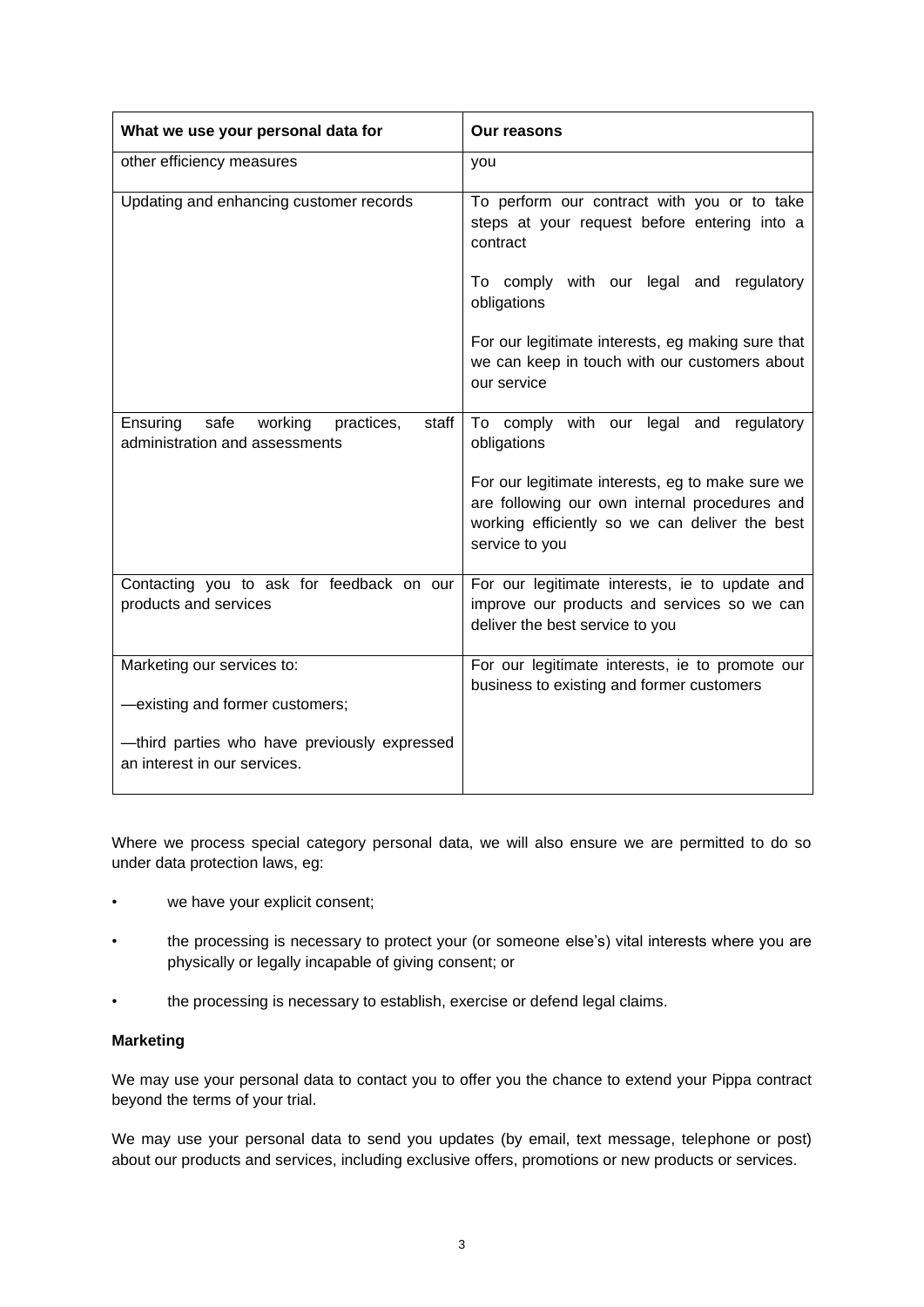| What we use your personal data for                                                | <b>Our reasons</b>                                                                                                                                                    |
|-----------------------------------------------------------------------------------|-----------------------------------------------------------------------------------------------------------------------------------------------------------------------|
| other efficiency measures                                                         | you                                                                                                                                                                   |
| Updating and enhancing customer records                                           | To perform our contract with you or to take<br>steps at your request before entering into a<br>contract                                                               |
|                                                                                   | To comply with our legal and regulatory<br>obligations                                                                                                                |
|                                                                                   | For our legitimate interests, eg making sure that<br>we can keep in touch with our customers about<br>our service                                                     |
| Ensuring<br>safe working<br>staff<br>practices,<br>administration and assessments | To comply with our legal and regulatory<br>obligations                                                                                                                |
|                                                                                   | For our legitimate interests, eg to make sure we<br>are following our own internal procedures and<br>working efficiently so we can deliver the best<br>service to you |
| Contacting you to ask for feedback on our<br>products and services                | For our legitimate interests, ie to update and<br>improve our products and services so we can<br>deliver the best service to you                                      |
| Marketing our services to:                                                        | For our legitimate interests, ie to promote our<br>business to existing and former customers                                                                          |
| -existing and former customers;                                                   |                                                                                                                                                                       |
| -third parties who have previously expressed<br>an interest in our services.      |                                                                                                                                                                       |

Where we process special category personal data, we will also ensure we are permitted to do so under data protection laws, eg:

- we have your explicit consent;
- the processing is necessary to protect your (or someone else's) vital interests where you are physically or legally incapable of giving consent; or
- the processing is necessary to establish, exercise or defend legal claims.

### **Marketing**

We may use your personal data to contact you to offer you the chance to extend your Pippa contract beyond the terms of your trial.

We may use your personal data to send you updates (by email, text message, telephone or post) about our products and services, including exclusive offers, promotions or new products or services.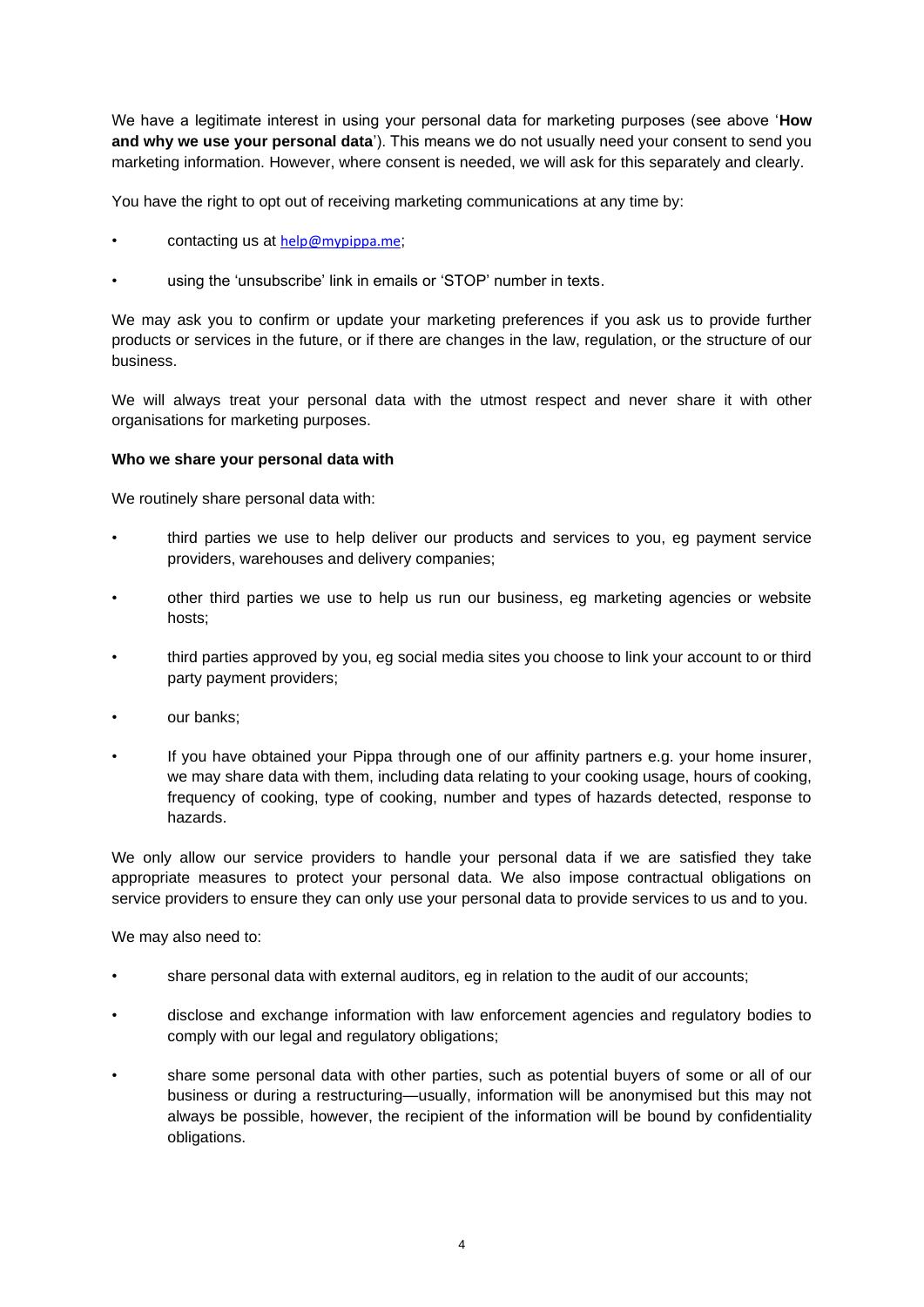We have a legitimate interest in using your personal data for marketing purposes (see above '**How and why we use your personal data**'). This means we do not usually need your consent to send you marketing information. However, where consent is needed, we will ask for this separately and clearly.

You have the right to opt out of receiving marketing communications at any time by:

- contacting us at [help@mypippa.me](mailto:help@mypippa.me);
- using the 'unsubscribe' link in emails or 'STOP' number in texts.

We may ask you to confirm or update your marketing preferences if you ask us to provide further products or services in the future, or if there are changes in the law, regulation, or the structure of our business.

We will always treat your personal data with the utmost respect and never share it with other organisations for marketing purposes.

# **Who we share your personal data with**

We routinely share personal data with:

- third parties we use to help deliver our products and services to you, eg payment service providers, warehouses and delivery companies;
- other third parties we use to help us run our business, eg marketing agencies or website hosts;
- third parties approved by you, eg social media sites you choose to link your account to or third party payment providers;
- our banks;
- If you have obtained your Pippa through one of our affinity partners e.g. your home insurer, we may share data with them, including data relating to your cooking usage, hours of cooking, frequency of cooking, type of cooking, number and types of hazards detected, response to hazards.

We only allow our service providers to handle your personal data if we are satisfied they take appropriate measures to protect your personal data. We also impose contractual obligations on service providers to ensure they can only use your personal data to provide services to us and to you.

We may also need to:

- share personal data with external auditors, eg in relation to the audit of our accounts;
- disclose and exchange information with law enforcement agencies and regulatory bodies to comply with our legal and regulatory obligations;
- share some personal data with other parties, such as potential buyers of some or all of our business or during a restructuring—usually, information will be anonymised but this may not always be possible, however, the recipient of the information will be bound by confidentiality obligations.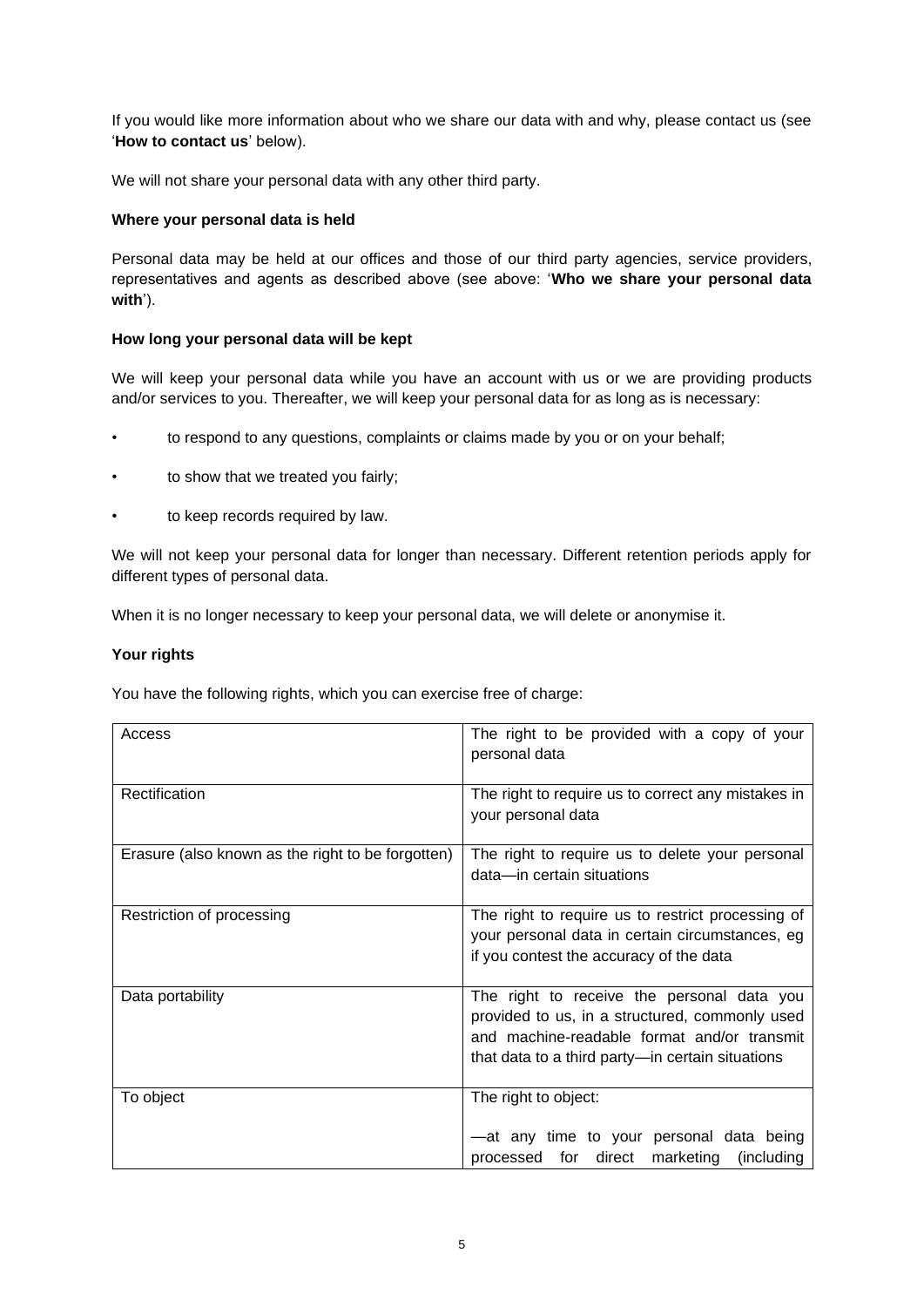If you would like more information about who we share our data with and why, please contact us (see '**How to contact us**' below).

We will not share your personal data with any other third party.

## **Where your personal data is held**

Personal data may be held at our offices and those of our third party agencies, service providers, representatives and agents as described above (see above: '**Who we share your personal data with**').

## **How long your personal data will be kept**

We will keep your personal data while you have an account with us or we are providing products and/or services to you. Thereafter, we will keep your personal data for as long as is necessary:

- to respond to any questions, complaints or claims made by you or on your behalf;
- to show that we treated you fairly;
- to keep records required by law.

We will not keep your personal data for longer than necessary. Different retention periods apply for different types of personal data.

When it is no longer necessary to keep your personal data, we will delete or anonymise it.

### **Your rights**

You have the following rights, which you can exercise free of charge:

| Access                                            | The right to be provided with a copy of your<br>personal data                                                                                                                                   |
|---------------------------------------------------|-------------------------------------------------------------------------------------------------------------------------------------------------------------------------------------------------|
| Rectification                                     | The right to require us to correct any mistakes in<br>your personal data                                                                                                                        |
| Erasure (also known as the right to be forgotten) | The right to require us to delete your personal<br>data-in certain situations                                                                                                                   |
| Restriction of processing                         | The right to require us to restrict processing of<br>your personal data in certain circumstances, eg<br>if you contest the accuracy of the data                                                 |
| Data portability                                  | The right to receive the personal data you<br>provided to us, in a structured, commonly used<br>and machine-readable format and/or transmit<br>that data to a third party-in certain situations |
| To object                                         | The right to object:<br>-at any time to your personal data being<br>marketing<br>for<br>direct<br>(including)<br>processed                                                                      |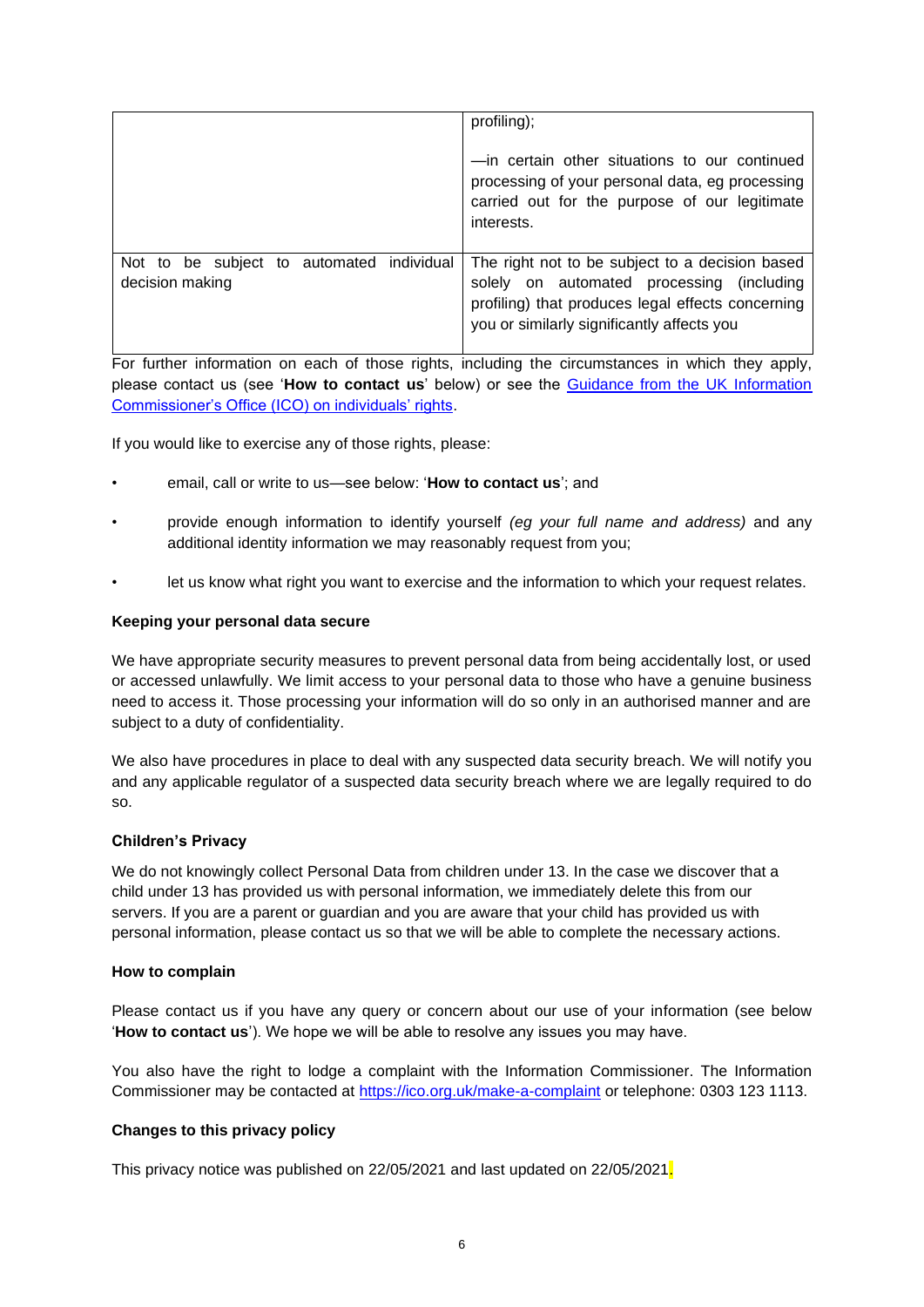|                                           | profiling);<br>-in certain other situations to our continued<br>processing of your personal data, eg processing                              |
|-------------------------------------------|----------------------------------------------------------------------------------------------------------------------------------------------|
|                                           | carried out for the purpose of our legitimate<br>interests.                                                                                  |
| Not to be subject to automated individual | The right not to be subject to a decision based                                                                                              |
| decision making                           | solely on automated processing (including<br>profiling) that produces legal effects concerning<br>you or similarly significantly affects you |

For further information on each of those rights, including the circumstances in which they apply, please contact us (see '**How to contact us**' below) or see the Guidance from the UK Information Commissioner's Office (ICO) on individuals' rights.

If you would like to exercise any of those rights, please:

- email, call or write to us—see below: '**How to contact us**'; and
- provide enough information to identify yourself *(eg your full name and address)* and any additional identity information we may reasonably request from you;
- let us know what right you want to exercise and the information to which your request relates.

### **Keeping your personal data secure**

We have appropriate security measures to prevent personal data from being accidentally lost, or used or accessed unlawfully. We limit access to your personal data to those who have a genuine business need to access it. Those processing your information will do so only in an authorised manner and are subject to a duty of confidentiality.

We also have procedures in place to deal with any suspected data security breach. We will notify you and any applicable regulator of a suspected data security breach where we are legally required to do so.

### **Children's Privacy**

We do not knowingly collect Personal Data from children under 13. In the case we discover that a child under 13 has provided us with personal information, we immediately delete this from our servers. If you are a parent or guardian and you are aware that your child has provided us with personal information, please contact us so that we will be able to complete the necessary actions.

### **How to complain**

Please contact us if you have any query or concern about our use of your information (see below '**How to contact us**'). We hope we will be able to resolve any issues you may have.

You also have the right to lodge a complaint with the Information Commissioner. The Information Commissioner may be contacted at https://ico.org.uk/make-a-complaint or telephone: 0303 123 1113.

# **Changes to this privacy policy**

This privacy notice was published on 22/05/2021 and last updated on 22/05/2021.